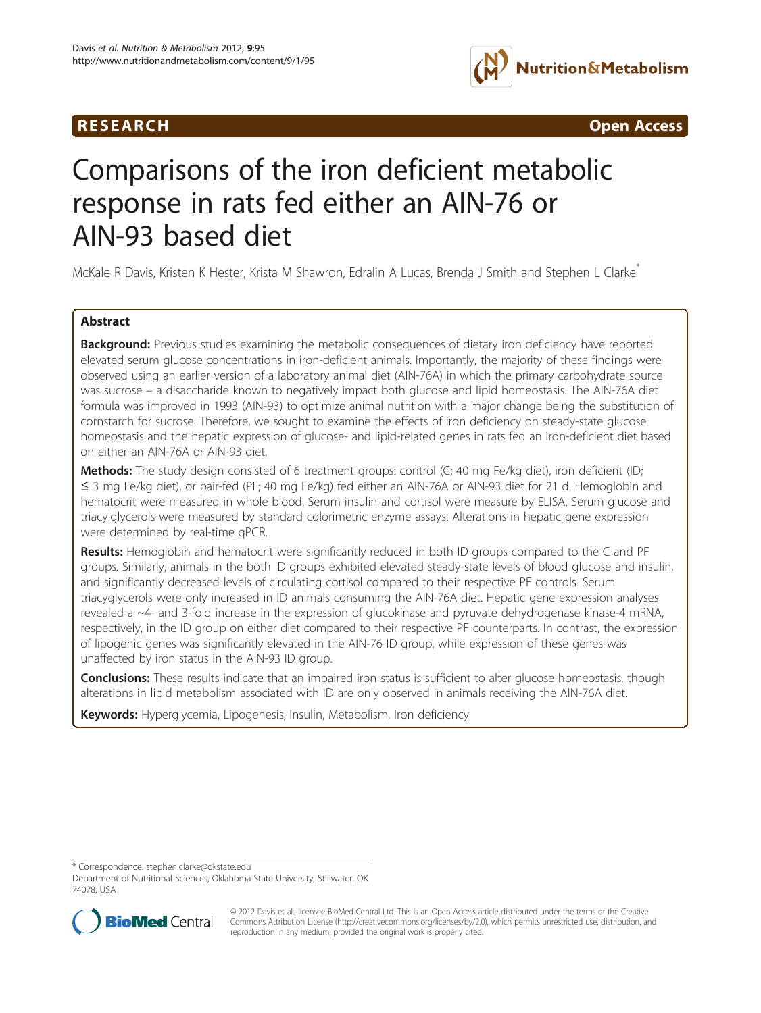



# Comparisons of the iron deficient metabolic response in rats fed either an AIN-76 or AIN-93 based diet

McKale R Davis, Kristen K Hester, Krista M Shawron, Edralin A Lucas, Brenda J Smith and Stephen L Clarke<sup>\*</sup>

# Abstract

Background: Previous studies examining the metabolic consequences of dietary iron deficiency have reported elevated serum glucose concentrations in iron-deficient animals. Importantly, the majority of these findings were observed using an earlier version of a laboratory animal diet (AIN-76A) in which the primary carbohydrate source was sucrose – a disaccharide known to negatively impact both glucose and lipid homeostasis. The AIN-76A diet formula was improved in 1993 (AIN-93) to optimize animal nutrition with a major change being the substitution of cornstarch for sucrose. Therefore, we sought to examine the effects of iron deficiency on steady-state glucose homeostasis and the hepatic expression of glucose- and lipid-related genes in rats fed an iron-deficient diet based on either an AIN-76A or AIN-93 diet.

Methods: The study design consisted of 6 treatment groups: control (C; 40 mg Fe/kg diet), iron deficient (ID; ≤ 3 mg Fe/kg diet), or pair-fed (PF; 40 mg Fe/kg) fed either an AIN-76A or AIN-93 diet for 21 d. Hemoglobin and hematocrit were measured in whole blood. Serum insulin and cortisol were measure by ELISA. Serum glucose and triacylglycerols were measured by standard colorimetric enzyme assays. Alterations in hepatic gene expression were determined by real-time qPCR.

Results: Hemoglobin and hematocrit were significantly reduced in both ID groups compared to the C and PF groups. Similarly, animals in the both ID groups exhibited elevated steady-state levels of blood glucose and insulin, and significantly decreased levels of circulating cortisol compared to their respective PF controls. Serum triacyglycerols were only increased in ID animals consuming the AIN-76A diet. Hepatic gene expression analyses revealed a ~4- and 3-fold increase in the expression of glucokinase and pyruvate dehydrogenase kinase-4 mRNA, respectively, in the ID group on either diet compared to their respective PF counterparts. In contrast, the expression of lipogenic genes was significantly elevated in the AIN-76 ID group, while expression of these genes was unaffected by iron status in the AIN-93 ID group.

**Conclusions:** These results indicate that an impaired iron status is sufficient to alter glucose homeostasis, though alterations in lipid metabolism associated with ID are only observed in animals receiving the AIN-76A diet.

Keywords: Hyperglycemia, Lipogenesis, Insulin, Metabolism, Iron deficiency

\* Correspondence: [stephen.clarke@okstate.edu](mailto:stephen.clarke@okstate.edu)

Department of Nutritional Sciences, Oklahoma State University, Stillwater, OK 74078, USA



© 2012 Davis et al.; licensee BioMed Central Ltd. This is an Open Access article distributed under the terms of the Creative Commons Attribution License [\(http://creativecommons.org/licenses/by/2.0\)](http://creativecommons.org/licenses/by/2.0), which permits unrestricted use, distribution, and reproduction in any medium, provided the original work is properly cited.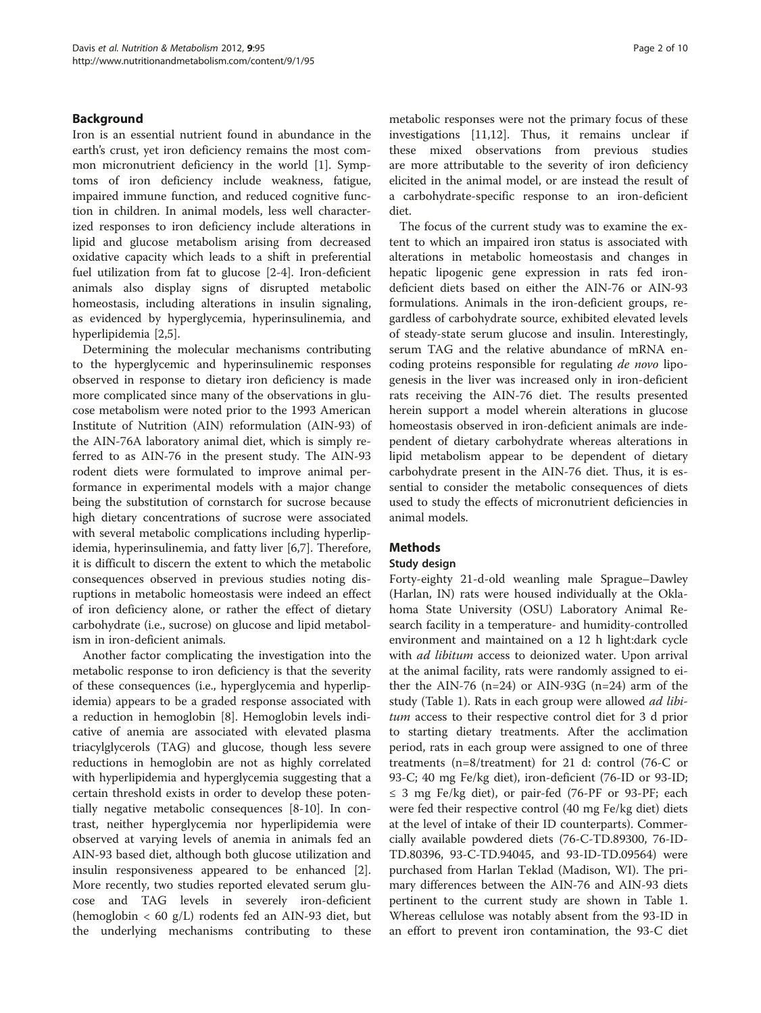# Background

Iron is an essential nutrient found in abundance in the earth's crust, yet iron deficiency remains the most common micronutrient deficiency in the world [\[1](#page-8-0)]. Symptoms of iron deficiency include weakness, fatigue, impaired immune function, and reduced cognitive function in children. In animal models, less well characterized responses to iron deficiency include alterations in lipid and glucose metabolism arising from decreased oxidative capacity which leads to a shift in preferential fuel utilization from fat to glucose [\[2](#page-8-0)-[4\]](#page-8-0). Iron-deficient animals also display signs of disrupted metabolic homeostasis, including alterations in insulin signaling, as evidenced by hyperglycemia, hyperinsulinemia, and hyperlipidemia [[2,5\]](#page-8-0).

Determining the molecular mechanisms contributing to the hyperglycemic and hyperinsulinemic responses observed in response to dietary iron deficiency is made more complicated since many of the observations in glucose metabolism were noted prior to the 1993 American Institute of Nutrition (AIN) reformulation (AIN-93) of the AIN-76A laboratory animal diet, which is simply referred to as AIN-76 in the present study. The AIN-93 rodent diets were formulated to improve animal performance in experimental models with a major change being the substitution of cornstarch for sucrose because high dietary concentrations of sucrose were associated with several metabolic complications including hyperlipidemia, hyperinsulinemia, and fatty liver [[6,7\]](#page-8-0). Therefore, it is difficult to discern the extent to which the metabolic consequences observed in previous studies noting disruptions in metabolic homeostasis were indeed an effect of iron deficiency alone, or rather the effect of dietary carbohydrate (i.e., sucrose) on glucose and lipid metabolism in iron-deficient animals.

Another factor complicating the investigation into the metabolic response to iron deficiency is that the severity of these consequences (i.e., hyperglycemia and hyperlipidemia) appears to be a graded response associated with a reduction in hemoglobin [[8\]](#page-8-0). Hemoglobin levels indicative of anemia are associated with elevated plasma triacylglycerols (TAG) and glucose, though less severe reductions in hemoglobin are not as highly correlated with hyperlipidemia and hyperglycemia suggesting that a certain threshold exists in order to develop these potentially negative metabolic consequences [\[8](#page-8-0)-[10\]](#page-8-0). In contrast, neither hyperglycemia nor hyperlipidemia were observed at varying levels of anemia in animals fed an AIN-93 based diet, although both glucose utilization and insulin responsiveness appeared to be enhanced [\[2](#page-8-0)]. More recently, two studies reported elevated serum glucose and TAG levels in severely iron-deficient (hemoglobin  $<$  60 g/L) rodents fed an AIN-93 diet, but the underlying mechanisms contributing to these

metabolic responses were not the primary focus of these investigations [[11,12\]](#page-8-0). Thus, it remains unclear if these mixed observations from previous studies are more attributable to the severity of iron deficiency elicited in the animal model, or are instead the result of a carbohydrate-specific response to an iron-deficient diet.

The focus of the current study was to examine the extent to which an impaired iron status is associated with alterations in metabolic homeostasis and changes in hepatic lipogenic gene expression in rats fed irondeficient diets based on either the AIN-76 or AIN-93 formulations. Animals in the iron-deficient groups, regardless of carbohydrate source, exhibited elevated levels of steady-state serum glucose and insulin. Interestingly, serum TAG and the relative abundance of mRNA encoding proteins responsible for regulating de novo lipogenesis in the liver was increased only in iron-deficient rats receiving the AIN-76 diet. The results presented herein support a model wherein alterations in glucose homeostasis observed in iron-deficient animals are independent of dietary carbohydrate whereas alterations in lipid metabolism appear to be dependent of dietary carbohydrate present in the AIN-76 diet. Thus, it is essential to consider the metabolic consequences of diets used to study the effects of micronutrient deficiencies in animal models.

# **Methods**

# Study design

Forty-eighty 21-d-old weanling male Sprague–Dawley (Harlan, IN) rats were housed individually at the Oklahoma State University (OSU) Laboratory Animal Research facility in a temperature- and humidity-controlled environment and maintained on a 12 h light:dark cycle with *ad libitum* access to deionized water. Upon arrival at the animal facility, rats were randomly assigned to either the AIN-76 (n=24) or AIN-93G (n=24) arm of the study (Table [1\)](#page-2-0). Rats in each group were allowed *ad libi*tum access to their respective control diet for 3 d prior to starting dietary treatments. After the acclimation period, rats in each group were assigned to one of three treatments (n=8/treatment) for 21 d: control (76-C or 93-C; 40 mg Fe/kg diet), iron-deficient (76-ID or 93-ID; ≤ 3 mg Fe/kg diet), or pair-fed (76-PF or 93-PF; each were fed their respective control (40 mg Fe/kg diet) diets at the level of intake of their ID counterparts). Commercially available powdered diets (76-C-TD.89300, 76-ID-TD.80396, 93-C-TD.94045, and 93-ID-TD.09564) were purchased from Harlan Teklad (Madison, WI). The primary differences between the AIN-76 and AIN-93 diets pertinent to the current study are shown in Table [1](#page-2-0). Whereas cellulose was notably absent from the 93-ID in an effort to prevent iron contamination, the 93-C diet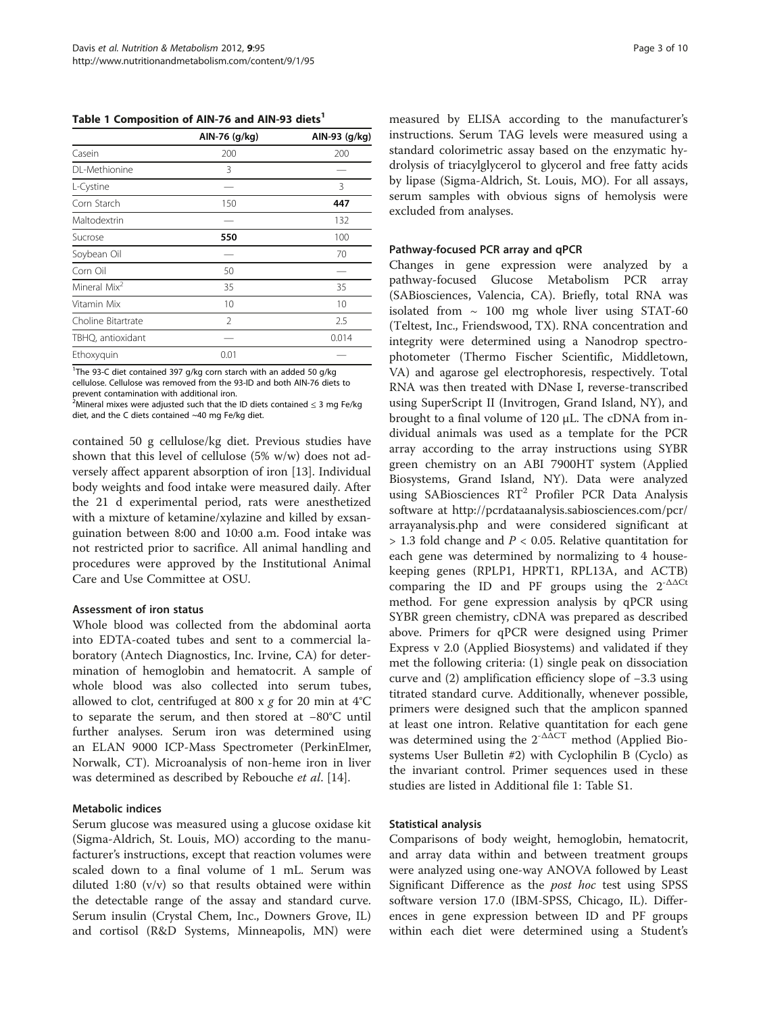<span id="page-2-0"></span>Table 1 Composition of AIN-76 and AIN-93 diets<sup>1</sup>

|                          | AIN-76 (g/kg)  | AIN-93 (g/kg) |  |
|--------------------------|----------------|---------------|--|
| Casein                   | 200            | 200           |  |
| DL-Methionine            | 3              |               |  |
| L-Cystine                |                | 3             |  |
| Corn Starch              | 150            | 447           |  |
| Maltodextrin             |                | 132           |  |
| Sucrose                  | 550            | 100           |  |
| Soybean Oil              |                | 70            |  |
| Corn Oil                 | 50             |               |  |
| Mineral Mix <sup>2</sup> | 35             | 35            |  |
| Vitamin Mix              | 10             | 10            |  |
| Choline Bitartrate       | $\mathfrak{D}$ | 2.5           |  |
| TBHQ, antioxidant        |                | 0.014         |  |
| Ethoxyquin               | 0.01           |               |  |

<sup>1</sup>The 93-C diet contained 397 g/kg corn starch with an added 50 g/kg cellulose. Cellulose was removed from the 93-ID and both AIN-76 diets to prevent contamination with additional iron.

 $^2$ Mineral mixes were adjusted such that the ID diets contained  $\leq$  3 mg Fe/kg diet, and the C diets contained ~40 mg Fe/kg diet.

contained 50 g cellulose/kg diet. Previous studies have shown that this level of cellulose (5% w/w) does not adversely affect apparent absorption of iron [\[13](#page-8-0)]. Individual body weights and food intake were measured daily. After the 21 d experimental period, rats were anesthetized with a mixture of ketamine/xylazine and killed by exsanguination between 8:00 and 10:00 a.m. Food intake was not restricted prior to sacrifice. All animal handling and procedures were approved by the Institutional Animal Care and Use Committee at OSU.

# Assessment of iron status

Whole blood was collected from the abdominal aorta into EDTA-coated tubes and sent to a commercial laboratory (Antech Diagnostics, Inc. Irvine, CA) for determination of hemoglobin and hematocrit. A sample of whole blood was also collected into serum tubes, allowed to clot, centrifuged at 800 x  $g$  for 20 min at 4°C to separate the serum, and then stored at −80°C until further analyses. Serum iron was determined using an ELAN 9000 ICP-Mass Spectrometer (PerkinElmer, Norwalk, CT). Microanalysis of non-heme iron in liver was determined as described by Rebouche *et al.* [\[14](#page-8-0)].

# Metabolic indices

Serum glucose was measured using a glucose oxidase kit (Sigma-Aldrich, St. Louis, MO) according to the manufacturer's instructions, except that reaction volumes were scaled down to a final volume of 1 mL. Serum was diluted 1:80 (v/v) so that results obtained were within the detectable range of the assay and standard curve. Serum insulin (Crystal Chem, Inc., Downers Grove, IL) and cortisol (R&D Systems, Minneapolis, MN) were

measured by ELISA according to the manufacturer's instructions. Serum TAG levels were measured using a standard colorimetric assay based on the enzymatic hydrolysis of triacylglycerol to glycerol and free fatty acids by lipase (Sigma-Aldrich, St. Louis, MO). For all assays, serum samples with obvious signs of hemolysis were excluded from analyses.

## Pathway-focused PCR array and qPCR

Changes in gene expression were analyzed by a pathway-focused Glucose Metabolism PCR array (SABiosciences, Valencia, CA). Briefly, total RNA was isolated from  $\sim$  100 mg whole liver using STAT-60 (Teltest, Inc., Friendswood, TX). RNA concentration and integrity were determined using a Nanodrop spectrophotometer (Thermo Fischer Scientific, Middletown, VA) and agarose gel electrophoresis, respectively. Total RNA was then treated with DNase I, reverse-transcribed using SuperScript II (Invitrogen, Grand Island, NY), and brought to a final volume of 120 μL. The cDNA from individual animals was used as a template for the PCR array according to the array instructions using SYBR green chemistry on an ABI 7900HT system (Applied Biosystems, Grand Island, NY). Data were analyzed using SABiosciences RT<sup>2</sup> Profiler PCR Data Analysis software at [http://pcrdataanalysis.sabiosciences.com/pcr/](http://pcrdataanalysis.sabiosciences.com/pcr/arrayanalysis.php) [arrayanalysis.php](http://pcrdataanalysis.sabiosciences.com/pcr/arrayanalysis.php) and were considered significant at  $> 1.3$  fold change and  $P < 0.05$ . Relative quantitation for each gene was determined by normalizing to 4 housekeeping genes (RPLP1, HPRT1, RPL13A, and ACTB) comparing the ID and PF groups using the  $2^{-\Delta\Delta Ct}$ method. For gene expression analysis by qPCR using SYBR green chemistry, cDNA was prepared as described above. Primers for qPCR were designed using Primer Express v 2.0 (Applied Biosystems) and validated if they met the following criteria: (1) single peak on dissociation curve and (2) amplification efficiency slope of −3.3 using titrated standard curve. Additionally, whenever possible, primers were designed such that the amplicon spanned at least one intron. Relative quantitation for each gene was determined using the  $2^{-\Delta \overline{\Delta}CT}$  method (Applied Biosystems User Bulletin #2) with Cyclophilin B (Cyclo) as the invariant control. Primer sequences used in these studies are listed in [Additional file 1: Table S1](#page-8-0).

# Statistical analysis

Comparisons of body weight, hemoglobin, hematocrit, and array data within and between treatment groups were analyzed using one-way ANOVA followed by Least Significant Difference as the post hoc test using SPSS software version 17.0 (IBM-SPSS, Chicago, IL). Differences in gene expression between ID and PF groups within each diet were determined using a Student's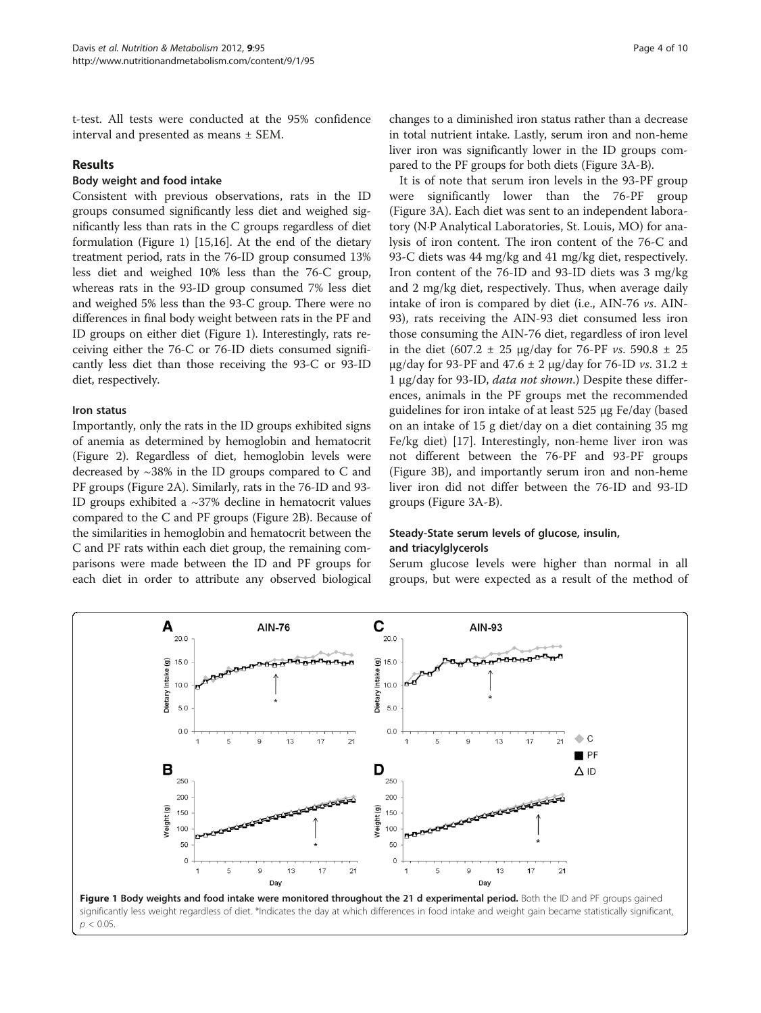t-test. All tests were conducted at the 95% confidence interval and presented as means ± SEM.

# Results

# Body weight and food intake

Consistent with previous observations, rats in the ID groups consumed significantly less diet and weighed significantly less than rats in the C groups regardless of diet formulation (Figure 1) [\[15,16\]](#page-8-0). At the end of the dietary treatment period, rats in the 76-ID group consumed 13% less diet and weighed 10% less than the 76-C group, whereas rats in the 93-ID group consumed 7% less diet and weighed 5% less than the 93-C group. There were no differences in final body weight between rats in the PF and ID groups on either diet (Figure 1). Interestingly, rats receiving either the 76-C or 76-ID diets consumed significantly less diet than those receiving the 93-C or 93-ID diet, respectively.

### Iron status

Importantly, only the rats in the ID groups exhibited signs of anemia as determined by hemoglobin and hematocrit (Figure [2\)](#page-4-0). Regardless of diet, hemoglobin levels were decreased by  $\sim$ 38% in the ID groups compared to C and PF groups (Figure [2A](#page-4-0)). Similarly, rats in the 76-ID and 93- ID groups exhibited a  $\sim$ 37% decline in hematocrit values compared to the C and PF groups (Figure [2B](#page-4-0)). Because of the similarities in hemoglobin and hematocrit between the C and PF rats within each diet group, the remaining comparisons were made between the ID and PF groups for each diet in order to attribute any observed biological

changes to a diminished iron status rather than a decrease in total nutrient intake. Lastly, serum iron and non-heme liver iron was significantly lower in the ID groups compared to the PF groups for both diets (Figure [3A-B](#page-4-0)).

It is of note that serum iron levels in the 93-PF group were significantly lower than the 76-PF group (Figure [3A](#page-4-0)). Each diet was sent to an independent laboratory (N·P Analytical Laboratories, St. Louis, MO) for analysis of iron content. The iron content of the 76-C and 93-C diets was 44 mg/kg and 41 mg/kg diet, respectively. Iron content of the 76-ID and 93-ID diets was 3 mg/kg and 2 mg/kg diet, respectively. Thus, when average daily intake of iron is compared by diet (i.e., AIN-76 vs. AIN-93), rats receiving the AIN-93 diet consumed less iron those consuming the AIN-76 diet, regardless of iron level in the diet (607.2  $\pm$  25 μg/day for 76-PF *vs.* 590.8  $\pm$  25 μg/day for 93-PF and 47.6  $\pm$  2 μg/day for 76-ID *vs.* 31.2  $\pm$ 1 μg/day for 93-ID, data not shown.) Despite these differences, animals in the PF groups met the recommended guidelines for iron intake of at least 525 μg Fe/day (based on an intake of 15 g diet/day on a diet containing 35 mg Fe/kg diet) [[17](#page-8-0)]. Interestingly, non-heme liver iron was not different between the 76-PF and 93-PF groups (Figure [3B](#page-4-0)), and importantly serum iron and non-heme liver iron did not differ between the 76-ID and 93-ID groups (Figure [3A-B](#page-4-0)).

# Steady-State serum levels of glucose, insulin, and triacylglycerols

Serum glucose levels were higher than normal in all groups, but were expected as a result of the method of

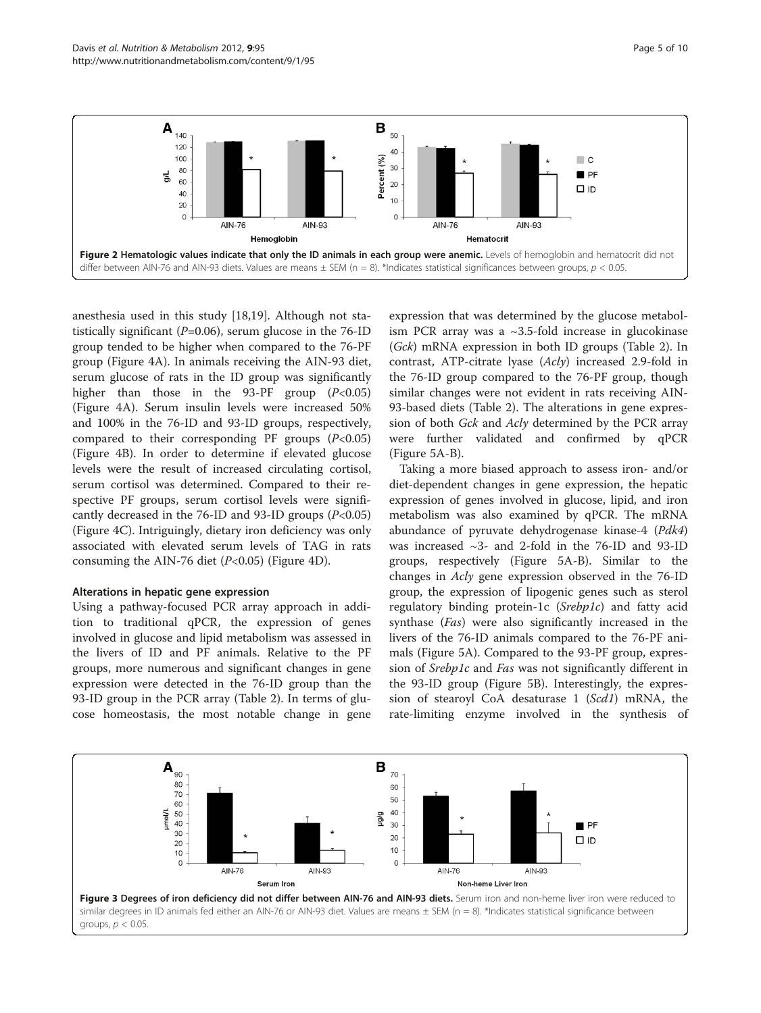<span id="page-4-0"></span>

anesthesia used in this study [\[18,19](#page-8-0)]. Although not statistically significant ( $P=0.06$ ), serum glucose in the 76-ID group tended to be higher when compared to the 76-PF group (Figure [4A\)](#page-5-0). In animals receiving the AIN-93 diet, serum glucose of rats in the ID group was significantly higher than those in the 93-PF group  $(P<0.05)$ (Figure [4A\)](#page-5-0). Serum insulin levels were increased 50% and 100% in the 76-ID and 93-ID groups, respectively, compared to their corresponding PF groups  $(P<0.05)$ (Figure [4B](#page-5-0)). In order to determine if elevated glucose levels were the result of increased circulating cortisol, serum cortisol was determined. Compared to their respective PF groups, serum cortisol levels were significantly decreased in the 76-ID and 93-ID groups  $(P<0.05)$ (Figure [4C](#page-5-0)). Intriguingly, dietary iron deficiency was only associated with elevated serum levels of TAG in rats consuming the AIN-76 diet  $(P<0.05)$  (Figure [4D\)](#page-5-0).

# Alterations in hepatic gene expression

Using a pathway-focused PCR array approach in addition to traditional qPCR, the expression of genes involved in glucose and lipid metabolism was assessed in the livers of ID and PF animals. Relative to the PF groups, more numerous and significant changes in gene expression were detected in the 76-ID group than the 93-ID group in the PCR array (Table [2\)](#page-5-0). In terms of glucose homeostasis, the most notable change in gene expression that was determined by the glucose metabolism PCR array was a ~3.5-fold increase in glucokinase (Gck) mRNA expression in both ID groups (Table [2](#page-5-0)). In contrast, ATP-citrate lyase (Acly) increased 2.9-fold in the 76-ID group compared to the 76-PF group, though similar changes were not evident in rats receiving AIN-93-based diets (Table [2\)](#page-5-0). The alterations in gene expression of both Gck and Acly determined by the PCR array were further validated and confirmed by qPCR (Figure [5A-B\)](#page-6-0).

Taking a more biased approach to assess iron- and/or diet-dependent changes in gene expression, the hepatic expression of genes involved in glucose, lipid, and iron metabolism was also examined by qPCR. The mRNA abundance of pyruvate dehydrogenase kinase-4 (Pdk4) was increased ~3- and 2-fold in the 76-ID and 93-ID groups, respectively (Figure [5A-B\)](#page-6-0). Similar to the changes in Acly gene expression observed in the 76-ID group, the expression of lipogenic genes such as sterol regulatory binding protein-1c (Srebp1c) and fatty acid synthase (Fas) were also significantly increased in the livers of the 76-ID animals compared to the 76-PF animals (Figure [5A\)](#page-6-0). Compared to the 93-PF group, expression of Srebp1c and Fas was not significantly different in the 93-ID group (Figure [5B\)](#page-6-0). Interestingly, the expression of stearoyl CoA desaturase 1 (Scd1) mRNA, the rate-limiting enzyme involved in the synthesis of

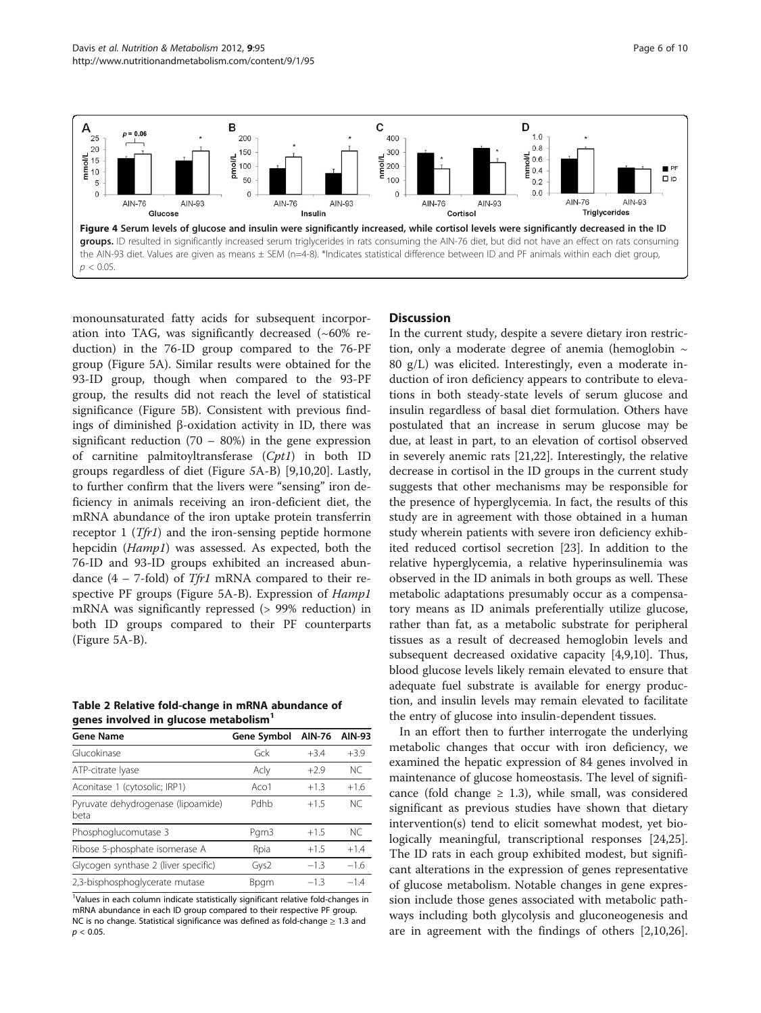<span id="page-5-0"></span>

monounsaturated fatty acids for subsequent incorporation into TAG, was significantly decreased  $(\sim 60\% \text{ re-}$ duction) in the 76-ID group compared to the 76-PF group (Figure [5A\)](#page-6-0). Similar results were obtained for the 93-ID group, though when compared to the 93-PF group, the results did not reach the level of statistical significance (Figure [5B](#page-6-0)). Consistent with previous findings of diminished β-oxidation activity in ID, there was significant reduction  $(70 - 80%)$  in the gene expression of carnitine palmitoyltransferase (Cpt1) in both ID groups regardless of diet (Figure 5[A-B\)](#page-6-0) [\[9](#page-8-0),[10](#page-8-0),[20](#page-8-0)]. Lastly, to further confirm that the livers were "sensing" iron deficiency in animals receiving an iron-deficient diet, the mRNA abundance of the iron uptake protein transferrin receptor 1 ( $Tfr1$ ) and the iron-sensing peptide hormone hepcidin (Hamp1) was assessed. As expected, both the 76-ID and 93-ID groups exhibited an increased abundance  $(4 - 7$ -fold) of Tfr1 mRNA compared to their respective PF groups (Figure [5A-B\)](#page-6-0). Expression of Hamp1 mRNA was significantly repressed (> 99% reduction) in both ID groups compared to their PF counterparts (Figure [5A-B\)](#page-6-0).

| Table 2 Relative fold-change in mRNA abundance of |  |
|---------------------------------------------------|--|
| genes involved in glucose metabolism <sup>1</sup> |  |

| <b>Gene Name</b>                           | Gene Symbol | <b>AIN-76</b> | AIN-93    |
|--------------------------------------------|-------------|---------------|-----------|
| Glucokinase                                | Gck         | $+3.4$        | $+3.9$    |
| ATP-citrate lyase                          | Acly        | $+2.9$        | <b>NC</b> |
| Aconitase 1 (cytosolic; IRP1)              | Aco1        | $+1.3$        | $+1.6$    |
| Pyruvate dehydrogenase (lipoamide)<br>beta | Pdhb        | $+15$         | NC.       |
| Phosphoglucomutase 3                       | Pgm3        | $+1.5$        | NC.       |
| Ribose 5-phosphate isomerase A             | Rpia        | $+1.5$        | $+1.4$    |
| Glycogen synthase 2 (liver specific)       | Gys2        | $-1.3$        | $-1.6$    |
| 2,3-bisphosphoglycerate mutase             | <b>Bpgm</b> | $-13$         | $-14$     |

<sup>1</sup>Values in each column indicate statistically significant relative fold-changes in mRNA abundance in each ID group compared to their respective PF group. NC is no change. Statistical significance was defined as fold-change ≥ 1.3 and  $p < 0.05$ .

# **Discussion**

In the current study, despite a severe dietary iron restriction, only a moderate degree of anemia (hemoglobin  $\sim$ 80 g/L) was elicited. Interestingly, even a moderate induction of iron deficiency appears to contribute to elevations in both steady-state levels of serum glucose and insulin regardless of basal diet formulation. Others have postulated that an increase in serum glucose may be due, at least in part, to an elevation of cortisol observed in severely anemic rats [[21,22\]](#page-8-0). Interestingly, the relative decrease in cortisol in the ID groups in the current study suggests that other mechanisms may be responsible for the presence of hyperglycemia. In fact, the results of this study are in agreement with those obtained in a human study wherein patients with severe iron deficiency exhibited reduced cortisol secretion [[23](#page-8-0)]. In addition to the relative hyperglycemia, a relative hyperinsulinemia was observed in the ID animals in both groups as well. These metabolic adaptations presumably occur as a compensatory means as ID animals preferentially utilize glucose, rather than fat, as a metabolic substrate for peripheral tissues as a result of decreased hemoglobin levels and subsequent decreased oxidative capacity [[4,9,10\]](#page-8-0). Thus, blood glucose levels likely remain elevated to ensure that adequate fuel substrate is available for energy production, and insulin levels may remain elevated to facilitate the entry of glucose into insulin-dependent tissues.

In an effort then to further interrogate the underlying metabolic changes that occur with iron deficiency, we examined the hepatic expression of 84 genes involved in maintenance of glucose homeostasis. The level of significance (fold change  $\geq$  1.3), while small, was considered significant as previous studies have shown that dietary intervention(s) tend to elicit somewhat modest, yet biologically meaningful, transcriptional responses [\[24,25](#page-8-0)]. The ID rats in each group exhibited modest, but significant alterations in the expression of genes representative of glucose metabolism. Notable changes in gene expression include those genes associated with metabolic pathways including both glycolysis and gluconeogenesis and are in agreement with the findings of others [\[2,10,26](#page-8-0)].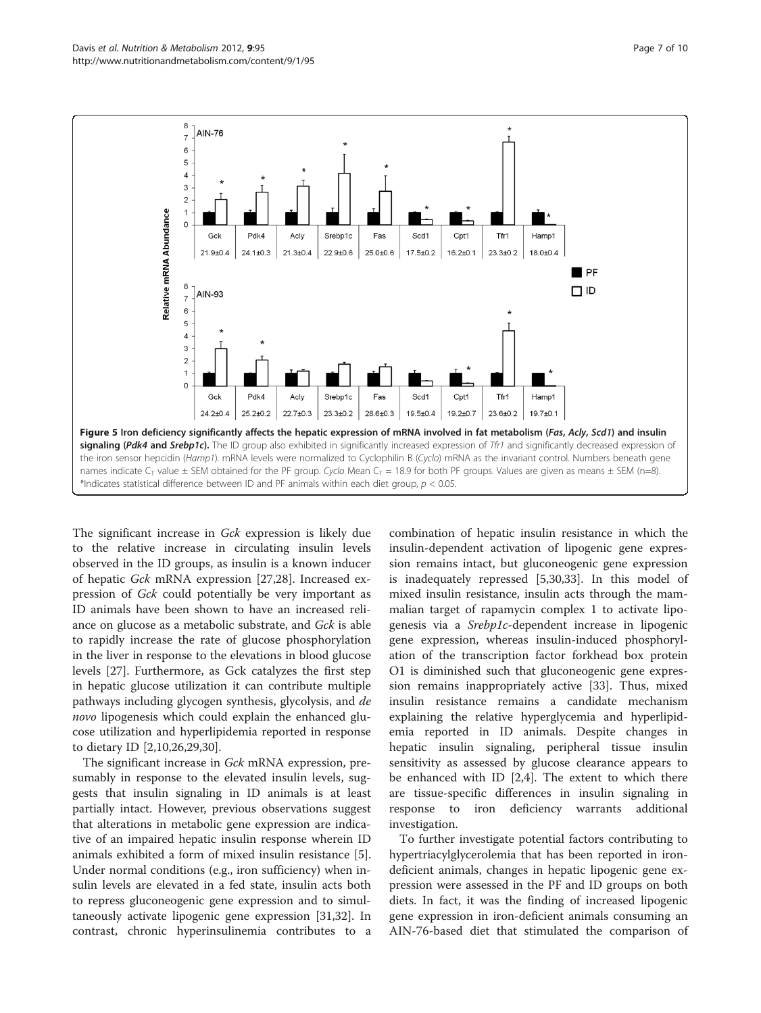<span id="page-6-0"></span>

The significant increase in Gck expression is likely due to the relative increase in circulating insulin levels observed in the ID groups, as insulin is a known inducer of hepatic Gck mRNA expression [[27,28\]](#page-8-0). Increased expression of Gck could potentially be very important as ID animals have been shown to have an increased reliance on glucose as a metabolic substrate, and Gck is able to rapidly increase the rate of glucose phosphorylation in the liver in response to the elevations in blood glucose levels [\[27](#page-8-0)]. Furthermore, as Gck catalyzes the first step in hepatic glucose utilization it can contribute multiple pathways including glycogen synthesis, glycolysis, and de novo lipogenesis which could explain the enhanced glucose utilization and hyperlipidemia reported in response to dietary ID [\[2,10,26,29,30\]](#page-8-0).

The significant increase in Gck mRNA expression, presumably in response to the elevated insulin levels, suggests that insulin signaling in ID animals is at least partially intact. However, previous observations suggest that alterations in metabolic gene expression are indicative of an impaired hepatic insulin response wherein ID animals exhibited a form of mixed insulin resistance [\[5](#page-8-0)]. Under normal conditions (e.g., iron sufficiency) when insulin levels are elevated in a fed state, insulin acts both to repress gluconeogenic gene expression and to simultaneously activate lipogenic gene expression [\[31,32](#page-8-0)]. In contrast, chronic hyperinsulinemia contributes to a

combination of hepatic insulin resistance in which the insulin-dependent activation of lipogenic gene expression remains intact, but gluconeogenic gene expression is inadequately repressed [[5,30,33\]](#page-8-0). In this model of mixed insulin resistance, insulin acts through the mammalian target of rapamycin complex 1 to activate lipogenesis via a Srebp1c-dependent increase in lipogenic gene expression, whereas insulin-induced phosphorylation of the transcription factor forkhead box protein O1 is diminished such that gluconeogenic gene expression remains inappropriately active [\[33](#page-8-0)]. Thus, mixed insulin resistance remains a candidate mechanism explaining the relative hyperglycemia and hyperlipidemia reported in ID animals. Despite changes in hepatic insulin signaling, peripheral tissue insulin sensitivity as assessed by glucose clearance appears to be enhanced with ID [\[2,4](#page-8-0)]. The extent to which there are tissue-specific differences in insulin signaling in response to iron deficiency warrants additional investigation.

To further investigate potential factors contributing to hypertriacylglycerolemia that has been reported in irondeficient animals, changes in hepatic lipogenic gene expression were assessed in the PF and ID groups on both diets. In fact, it was the finding of increased lipogenic gene expression in iron-deficient animals consuming an AIN-76-based diet that stimulated the comparison of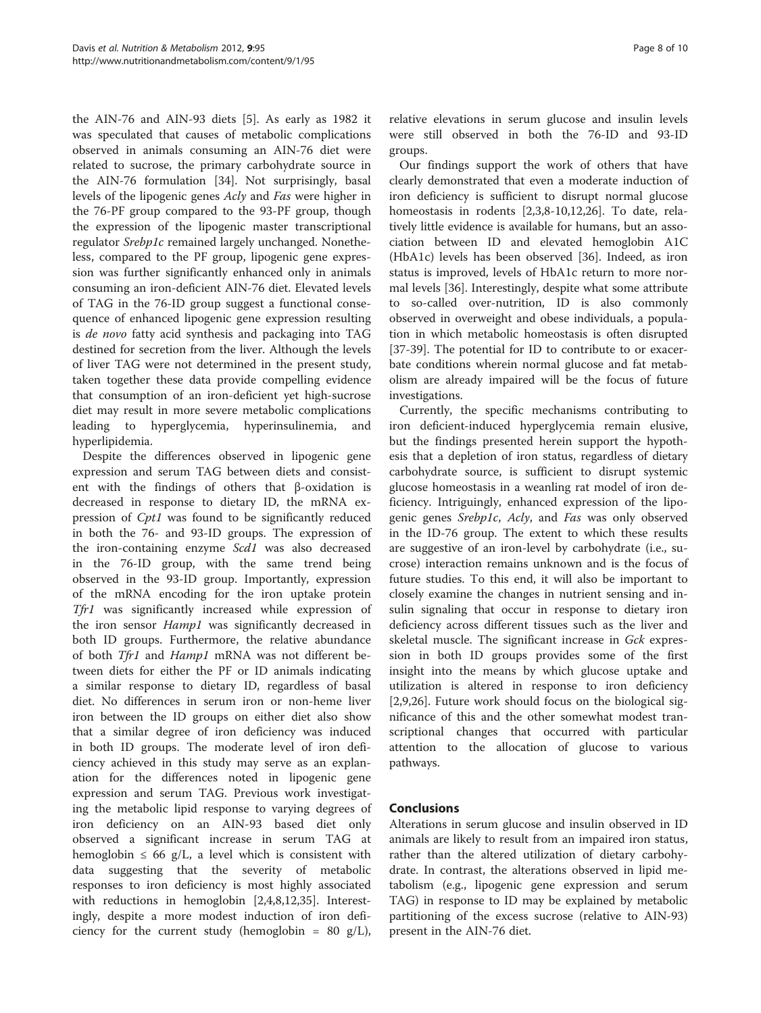the AIN-76 and AIN-93 diets [[5\]](#page-8-0). As early as 1982 it was speculated that causes of metabolic complications observed in animals consuming an AIN-76 diet were related to sucrose, the primary carbohydrate source in the AIN-76 formulation [[34\]](#page-8-0). Not surprisingly, basal levels of the lipogenic genes Acly and Fas were higher in the 76-PF group compared to the 93-PF group, though the expression of the lipogenic master transcriptional regulator Srebp1c remained largely unchanged. Nonetheless, compared to the PF group, lipogenic gene expression was further significantly enhanced only in animals consuming an iron-deficient AIN-76 diet. Elevated levels of TAG in the 76-ID group suggest a functional consequence of enhanced lipogenic gene expression resulting is de novo fatty acid synthesis and packaging into TAG destined for secretion from the liver. Although the levels of liver TAG were not determined in the present study, taken together these data provide compelling evidence that consumption of an iron-deficient yet high-sucrose diet may result in more severe metabolic complications leading to hyperglycemia, hyperinsulinemia, and hyperlipidemia.

Despite the differences observed in lipogenic gene expression and serum TAG between diets and consistent with the findings of others that β-oxidation is decreased in response to dietary ID, the mRNA expression of Cpt1 was found to be significantly reduced in both the 76- and 93-ID groups. The expression of the iron-containing enzyme Scd1 was also decreased in the 76-ID group, with the same trend being observed in the 93-ID group. Importantly, expression of the mRNA encoding for the iron uptake protein Tfr1 was significantly increased while expression of the iron sensor *Hamp1* was significantly decreased in both ID groups. Furthermore, the relative abundance of both Tfr1 and Hamp1 mRNA was not different between diets for either the PF or ID animals indicating a similar response to dietary ID, regardless of basal diet. No differences in serum iron or non-heme liver iron between the ID groups on either diet also show that a similar degree of iron deficiency was induced in both ID groups. The moderate level of iron deficiency achieved in this study may serve as an explanation for the differences noted in lipogenic gene expression and serum TAG. Previous work investigating the metabolic lipid response to varying degrees of iron deficiency on an AIN-93 based diet only observed a significant increase in serum TAG at hemoglobin  $\leq 66$  g/L, a level which is consistent with data suggesting that the severity of metabolic responses to iron deficiency is most highly associated with reductions in hemoglobin [[2](#page-8-0),[4,8,12](#page-8-0),[35\]](#page-8-0). Interestingly, despite a more modest induction of iron deficiency for the current study (hemoglobin = 80 g/L),

relative elevations in serum glucose and insulin levels were still observed in both the 76-ID and 93-ID groups.

Our findings support the work of others that have clearly demonstrated that even a moderate induction of iron deficiency is sufficient to disrupt normal glucose homeostasis in rodents [[2,3,8-10,12,26](#page-8-0)]. To date, relatively little evidence is available for humans, but an association between ID and elevated hemoglobin A1C (HbA1c) levels has been observed [[36\]](#page-8-0). Indeed, as iron status is improved, levels of HbA1c return to more normal levels [\[36\]](#page-8-0). Interestingly, despite what some attribute to so-called over-nutrition, ID is also commonly observed in overweight and obese individuals, a population in which metabolic homeostasis is often disrupted [[37-39](#page-9-0)]. The potential for ID to contribute to or exacerbate conditions wherein normal glucose and fat metabolism are already impaired will be the focus of future investigations.

Currently, the specific mechanisms contributing to iron deficient-induced hyperglycemia remain elusive, but the findings presented herein support the hypothesis that a depletion of iron status, regardless of dietary carbohydrate source, is sufficient to disrupt systemic glucose homeostasis in a weanling rat model of iron deficiency. Intriguingly, enhanced expression of the lipogenic genes Srebp1c, Acly, and Fas was only observed in the ID-76 group. The extent to which these results are suggestive of an iron-level by carbohydrate (i.e., sucrose) interaction remains unknown and is the focus of future studies. To this end, it will also be important to closely examine the changes in nutrient sensing and insulin signaling that occur in response to dietary iron deficiency across different tissues such as the liver and skeletal muscle. The significant increase in Gck expression in both ID groups provides some of the first insight into the means by which glucose uptake and utilization is altered in response to iron deficiency [[2,9,26\]](#page-8-0). Future work should focus on the biological significance of this and the other somewhat modest transcriptional changes that occurred with particular attention to the allocation of glucose to various pathways.

# Conclusions

Alterations in serum glucose and insulin observed in ID animals are likely to result from an impaired iron status, rather than the altered utilization of dietary carbohydrate. In contrast, the alterations observed in lipid metabolism (e.g., lipogenic gene expression and serum TAG) in response to ID may be explained by metabolic partitioning of the excess sucrose (relative to AIN-93) present in the AIN-76 diet.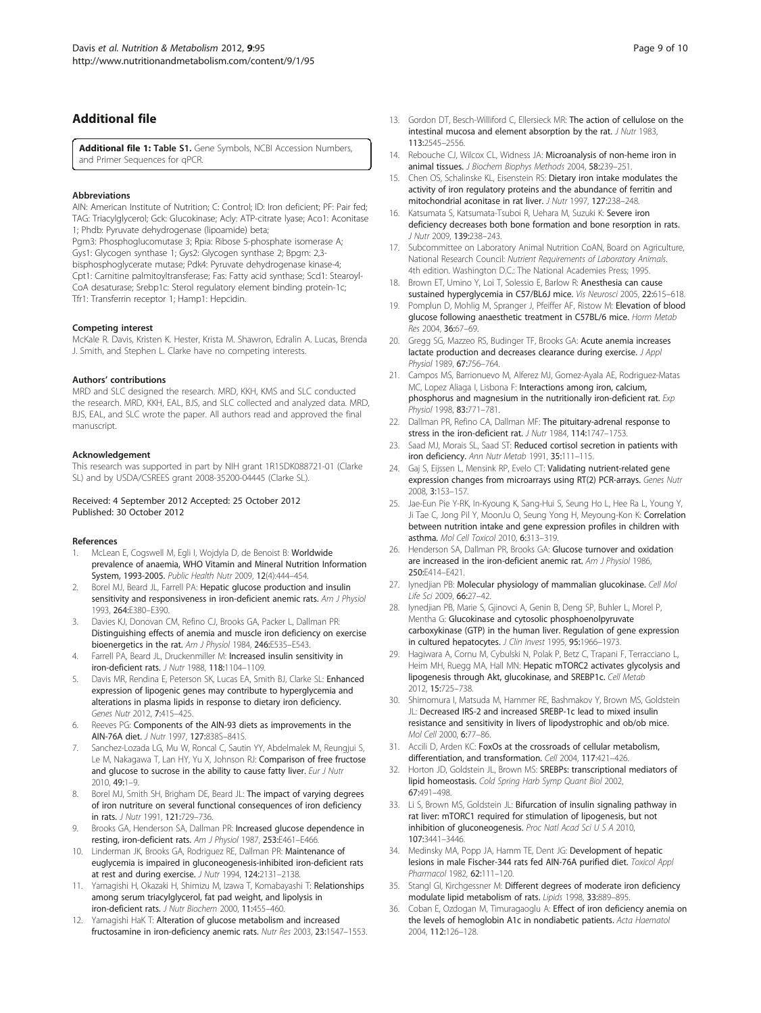# <span id="page-8-0"></span>Additional file

[Additional file 1:](http://www.biomedcentral.com/content/supplementary/1743-7075-9-95-S1.docx) Table S1. Gene Symbols, NCBI Accession Numbers, and Primer Sequences for qPCR.

#### Abbreviations

AIN: American Institute of Nutrition; C: Control; ID: Iron deficient; PF: Pair fed; TAG: Triacylglycerol; Gck: Glucokinase; Acly: ATP-citrate lyase; Aco1: Aconitase 1; Phdb: Pyruvate dehydrogenase (lipoamide) beta;

Pgm3: Phosphoglucomutase 3; Rpia: Ribose 5-phosphate isomerase A; Gys1: Glycogen synthase 1; Gys2: Glycogen synthase 2; Bpgm: 2,3 bisphosphoglycerate mutase; Pdk4: Pyruvate dehydrogenase kinase-4; Cpt1: Carnitine palmitoyltransferase; Fas: Fatty acid synthase; Scd1: Stearoyl-CoA desaturase; Srebp1c: Sterol regulatory element binding protein-1c; Tfr1: Transferrin receptor 1; Hamp1: Hepcidin.

#### Competing interest

McKale R. Davis, Kristen K. Hester, Krista M. Shawron, Edralin A. Lucas, Brenda J. Smith, and Stephen L. Clarke have no competing interests.

#### Authors' contributions

MRD and SLC designed the research. MRD, KKH, KMS and SLC conducted the research. MRD, KKH, EAL, BJS, and SLC collected and analyzed data. MRD, BJS, EAL, and SLC wrote the paper. All authors read and approved the final manuscript.

#### Acknowledgement

This research was supported in part by NIH grant 1R15DK088721-01 (Clarke SL) and by USDA/CSREES grant 2008-35200-04445 (Clarke SL).

#### Received: 4 September 2012 Accepted: 25 October 2012 Published: 30 October 2012

#### References

- McLean E, Cogswell M, Egli I, Wojdyla D, de Benoist B: Worldwide prevalence of anaemia, WHO Vitamin and Mineral Nutrition Information System, 1993-2005. Public Health Nutr 2009, 12(4):444–454.
- Borel MJ, Beard JL, Farrell PA: Hepatic glucose production and insulin sensitivity and responsiveness in iron-deficient anemic rats. Am J Physiol 1993, 264:E380–E390.
- 3. Davies KJ, Donovan CM, Refino CJ, Brooks GA, Packer L, Dallman PR: Distinguishing effects of anemia and muscle iron deficiency on exercise bioenergetics in the rat. Am J Physiol 1984, 246:E535–E543.
- Farrell PA, Beard JL, Druckenmiller M: Increased insulin sensitivity in iron-deficient rats. J Nutr 1988, 118:1104–1109.
- Davis MR, Rendina E, Peterson SK, Lucas EA, Smith BJ, Clarke SL: Enhanced expression of lipogenic genes may contribute to hyperglycemia and alterations in plasma lipids in response to dietary iron deficiency. Genes Nutr 2012, 7:415–425.
- 6. Reeves PG: Components of the AIN-93 diets as improvements in the AIN-76A diet. J Nutr 1997, 127:838S–841S.
- 7. Sanchez-Lozada LG, Mu W, Roncal C, Sautin YY, Abdelmalek M, Reungjui S, Le M, Nakagawa T, Lan HY, Yu X, Johnson RJ: Comparison of free fructose and glucose to sucrose in the ability to cause fatty liver. Eur J Nutr 2010, 49:1–9.
- 8. Borel MJ, Smith SH, Brigham DE, Beard JL: The impact of varying degrees of iron nutriture on several functional consequences of iron deficiency in rats. J Nutr 1991, 121:729–736.
- 9. Brooks GA, Henderson SA, Dallman PR: Increased glucose dependence in resting, iron-deficient rats. Am J Physiol 1987, 253:E461–E466.
- 10. Linderman JK, Brooks GA, Rodriguez RE, Dallman PR: Maintenance of euglycemia is impaired in gluconeogenesis-inhibited iron-deficient rats at rest and during exercise. J Nutr 1994, 124:2131–2138.
- 11. Yamagishi H, Okazaki H, Shimizu M, Izawa T, Komabayashi T: Relationships among serum triacylglycerol, fat pad weight, and lipolysis in iron-deficient rats. J Nutr Biochem 2000, 11:455–460.
- 12. Yamagishi HaK T: Alteration of glucose metabolism and increased fructosamine in iron-deficiency anemic rats. Nutr Res 2003, 23:1547–1553.
- 13. Gordon DT, Besch-Williford C, Ellersieck MR: The action of cellulose on the intestinal mucosa and element absorption by the rat. J Nutr 1983, 113:2545–2556.
- 14. Rebouche CJ, Wilcox CL, Widness JA: Microanalysis of non-heme iron in animal tissues. J Biochem Biophys Methods 2004, 58:239–251.
- 15. Chen OS, Schalinske KL, Eisenstein RS: Dietary iron intake modulates the activity of iron regulatory proteins and the abundance of ferritin and mitochondrial aconitase in rat liver. J Nutr 1997, 127:238–248.
- 16. Katsumata S, Katsumata-Tsuboi R, Uehara M, Suzuki K: Severe iron deficiency decreases both bone formation and bone resorption in rats. J Nutr 2009, 139:238–243.
- 17. Subcommittee on Laboratory Animal Nutrition CoAN, Board on Agriculture, National Research Council: Nutrient Requirements of Laboratory Animals. 4th edition. Washington D.C.: The National Academies Press; 1995.
- 18. Brown ET, Umino Y, Loi T, Solessio E, Barlow R: Anesthesia can cause sustained hyperglycemia in C57/BL6J mice. Vis Neurosci 2005, 22:615–618.
- 19. Pomplun D, Mohlig M, Spranger J, Pfeiffer AF, Ristow M: Elevation of blood glucose following anaesthetic treatment in C57BL/6 mice. Horm Metab Res 2004, 36:67–69.
- 20. Gregg SG, Mazzeo RS, Budinger TF, Brooks GA: Acute anemia increases lactate production and decreases clearance during exercise. J Appl Physiol 1989, 67:756-764.
- 21. Campos MS, Barrionuevo M, Alferez MJ, Gomez-Ayala AE, Rodriguez-Matas MC, Lopez Aliaga I, Lisbona F: Interactions among iron, calcium, phosphorus and magnesium in the nutritionally iron-deficient rat. Exp Physiol 1998, 83:771–781.
- 22. Dallman PR, Refino CA, Dallman MF: The pituitary-adrenal response to stress in the iron-deficient rat. J Nutr 1984, 114:1747–1753.
- 23. Saad MJ, Morais SL, Saad ST: Reduced cortisol secretion in patients with iron deficiency. Ann Nutr Metab 1991, 35:111–115.
- 24. Gaj S, Eijssen L, Mensink RP, Evelo CT: Validating nutrient-related gene expression changes from microarrays using RT(2) PCR-arrays. Genes Nutr 2008, 3:153–157.
- 25. Jae-Eun Pie Y-RK, In-Kyoung K, Sang-Hui S, Seung Ho L, Hee Ra L, Young Y, Ji Tae C, Jong Pil Y, MoonJu O, Seung Yong H, Meyoung-Kon K: Correlation between nutrition intake and gene expression profiles in children with asthma. Mol Cell Toxicol 2010, 6:313–319.
- 26. Henderson SA, Dallman PR, Brooks GA: Glucose turnover and oxidation are increased in the iron-deficient anemic rat. Am J Physiol 1986, 250:E414–E421.
- 27. Iynedijan PB: Molecular physiology of mammalian glucokinase. Cell Mol Life Sci 2009, 66:27–42.
- 28. Iynedjian PB, Marie S, Gjinovci A, Genin B, Deng SP, Buhler L, Morel P, Mentha G: Glucokinase and cytosolic phosphoenolpyruvate carboxykinase (GTP) in the human liver. Regulation of gene expression in cultured hepatocytes. J Clin Invest 1995, 95:1966-1973.
- 29. Hagiwara A, Cornu M, Cybulski N, Polak P, Betz C, Trapani F, Terracciano L, Heim MH, Ruegg MA, Hall MN: Hepatic mTORC2 activates glycolysis and lipogenesis through Akt, glucokinase, and SREBP1c. Cell Metab 2012, 15:725–738.
- 30. Shimomura I, Matsuda M, Hammer RE, Bashmakov Y, Brown MS, Goldstein JL: Decreased IRS-2 and increased SREBP-1c lead to mixed insulin resistance and sensitivity in livers of lipodystrophic and ob/ob mice. Mol Cell 2000, 6:77–86.
- 31. Accili D, Arden KC: FoxOs at the crossroads of cellular metabolism, differentiation, and transformation. Cell 2004, 117:421–426.
- Horton JD, Goldstein JL, Brown MS: SREBPs: transcriptional mediators of lipid homeostasis. Cold Spring Harb Symp Quant Biol 2002, 67:491–498.
- 33. Li S, Brown MS, Goldstein JL: Bifurcation of insulin signaling pathway in rat liver: mTORC1 required for stimulation of lipogenesis, but not inhibition of gluconeogenesis. Proc Natl Acad Sci U S A 2010, 107:3441–3446.
- 34. Medinsky MA, Popp JA, Hamm TE, Dent JG: Development of hepatic lesions in male Fischer-344 rats fed AIN-76A purified diet. Toxicol Appl Pharmacol 1982, 62:111–120.
- 35. Stangl GI, Kirchgessner M: Different degrees of moderate iron deficiency modulate lipid metabolism of rats. Lipids 1998, 33:889–895.
- 36. Coban E, Ozdogan M, Timuragaoglu A: Effect of iron deficiency anemia on the levels of hemoglobin A1c in nondiabetic patients. Acta Haematol 2004, 112:126–128.